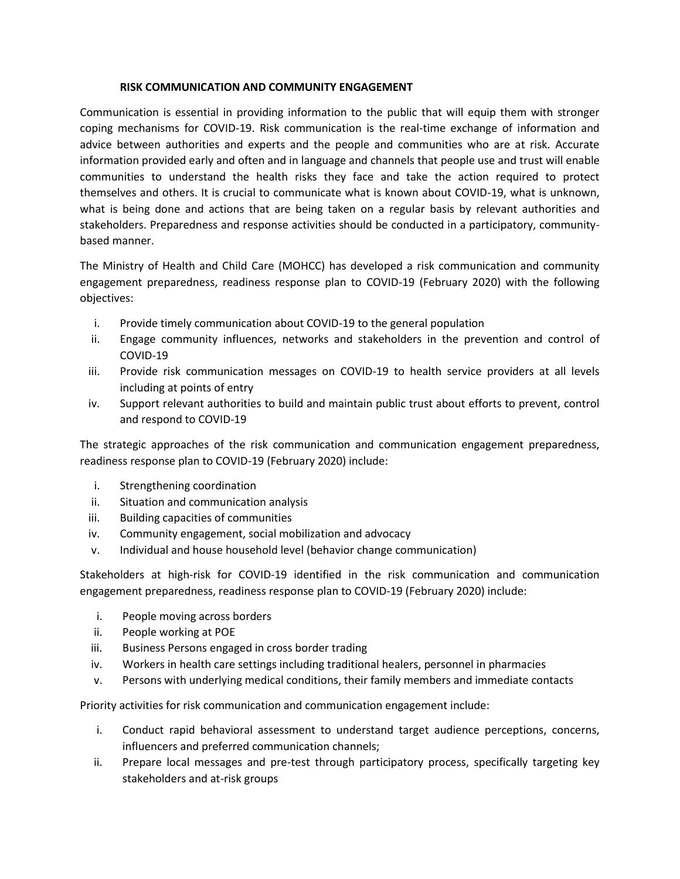## **RISK COMMUNICATION AND COMMUNITY ENGAGEMENT**

Communication is essential in providing information to the public that will equip them with stronger coping mechanisms for COVID-19. Risk communication is the real-time exchange of information and advice between authorities and experts and the people and communities who are at risk. Accurate information provided early and often and in language and channels that people use and trust will enable communities to understand the health risks they face and take the action required to protect themselves and others. It is crucial to communicate what is known about COVID-19, what is unknown, what is being done and actions that are being taken on a regular basis by relevant authorities and stakeholders. Preparedness and response activities should be conducted in a participatory, communitybased manner.

The Ministry of Health and Child Care (MOHCC) has developed a risk communication and community engagement preparedness, readiness response plan to COVID-19 (February 2020) with the following objectives:

- i. Provide timely communication about COVID-19 to the general population
- ii. Engage community influences, networks and stakeholders in the prevention and control of COVID-19
- iii. Provide risk communication messages on COVID-19 to health service providers at all levels including at points of entry
- iv. Support relevant authorities to build and maintain public trust about efforts to prevent, control and respond to COVID-19

The strategic approaches of the risk communication and communication engagement preparedness, readiness response plan to COVID-19 (February 2020) include:

- i. Strengthening coordination
- ii. Situation and communication analysis
- iii. Building capacities of communities
- iv. Community engagement, social mobilization and advocacy
- v. Individual and house household level (behavior change communication)

Stakeholders at high-risk for COVID-19 identified in the risk communication and communication engagement preparedness, readiness response plan to COVID-19 (February 2020) include:

- i. People moving across borders
- ii. People working at POE
- iii. Business Persons engaged in cross border trading
- iv. Workers in health care settings including traditional healers, personnel in pharmacies
- v. Persons with underlying medical conditions, their family members and immediate contacts

Priority activities for risk communication and communication engagement include:

- i. Conduct rapid behavioral assessment to understand target audience perceptions, concerns, influencers and preferred communication channels;
- ii. Prepare local messages and pre-test through participatory process, specifically targeting key stakeholders and at-risk groups